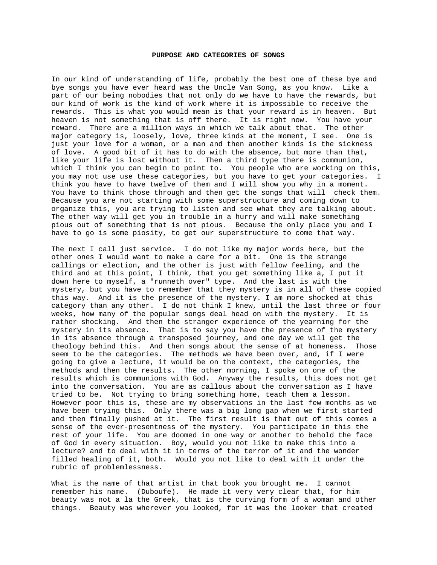## **PURPOSE AND CATEGORIES OF SONGS**

In our kind of understanding of life, probably the best one of these bye and bye songs you have ever heard was the Uncle Van Song, as you know. Like a part of our being nobodies that not only do we have to have the rewards, but our kind of work is the kind of work where it is impossible to receive the rewards. This is what you would mean is that your reward is in heaven. But heaven is not something that is off there. It is right now. You have your reward. There are a million ways in which we talk about that. The other major category is, loosely, love, three kinds at the moment, I see. One is just your love for a woman, or a man and then another kinds is the sickness of love. A good bit of it has to do with the absence, but more than that, like your life is lost without it. Then a third type there is communion, which I think you can begin to point to. You people who are working on this, you may not use use these categories, but you have to get your categories. I think you have to have twelve of them and I will show you why in a moment. You have to think those through and then get the songs that will check them. Because you are not starting with some superstructure and coming down to organize this, you are trying to listen and see what they are talking about. The other way will get you in trouble in a hurry and will make something pious out of something that is not pious. Because the only place you and I have to go is some piosity, to get our superstructure to come that way.

The next I call just service. I do not like my major words here, but the other ones I would want to make a care for a bit. One is the strange callings or election, and the other is just with fellow feeling, and the third and at this point, I think, that you get something like a, I put it down here to myself, a "runneth over" type. And the last is with the mystery, but you have to remember that they mystery is in all of these copied this way. And it is the presence of the mystery. I am more shocked at this category than any other. I do not think I knew, until the last three or four weeks, how many of the popular songs deal head on with the mystery. It is rather shocking. And then the stranger experience of the yearning for the mystery in its absence. That is to say you have the presence of the mystery in its absence through a transposed journey, and one day we will get the theology behind this. And then songs about the sense of at homeness. Those seem to be the categories. The methods we have been over, and, if I were going to give a lecture, it would be on the context, the categories, the methods and then the results. The other morning, I spoke on one of the results which is communions with God. Anyway the results, this does not get into the conversation. You are as callous about the conversation as I have tried to be. Not trying to bring something home, teach them a lesson. However poor this is, these are my observations in the last few months as we have been trying this. Only there was a big long gap when we first started and then finally pushed at it. The first result is that out of this comes a sense of the ever-presentness of the mystery. You participate in this the rest of your life. You are doomed in one way or another to behold the face of God in every situation. Boy, would you not like to make this into a lecture? and to deal with it in terms of the terror of it and the wonder filled healing of it, both. Would you not like to deal with it under the rubric of problemlessness.

What is the name of that artist in that book you brought me. I cannot remember his name. (Duboufe). He made it very very clear that, for him beauty was not a la the Greek, that is the curving form of a woman and other things. Beauty was wherever you looked, for it was the looker that created